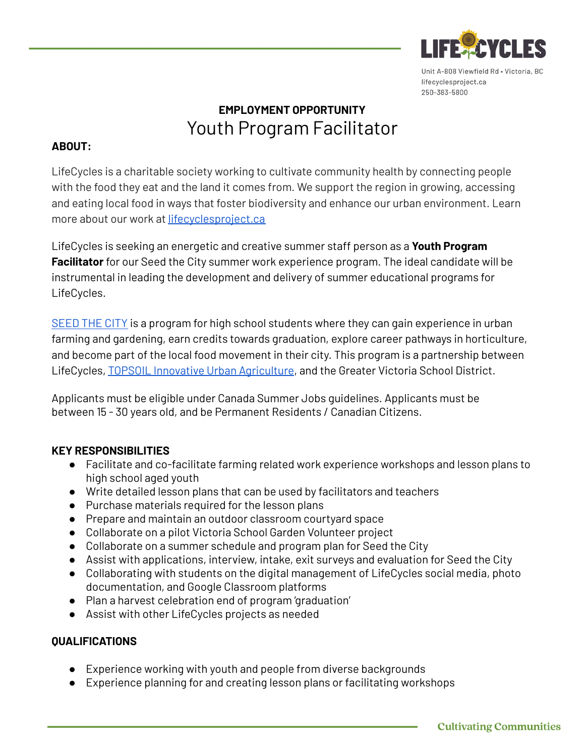

# **EMPLOYMENT OPPORTUNITY** Youth Program Facilitator

## **ABOUT:**

LifeCycles is a charitable society working to cultivate community health by connecting people with the food they eat and the land it comes from. We support the region in growing, accessing and eating local food in ways that foster biodiversity and enhance our urban environment. Learn more about our work at [lifecyclesproject.ca](https://lifecyclesproject.ca/)

LifeCycles is seeking an energetic and creative summer staff person as a **Youth Program Facilitator** for our Seed the City summer work experience program. The ideal candidate will be instrumental in leading the development and delivery of summer educational programs for LifeCycles.

[SEED](https://lifecyclesproject.ca/our-projects/growing-schools/seed-the-city/) THE CITY is a program for high school students where they can gain experience in urban farming and gardening, earn credits towards graduation, explore career pathways in horticulture, and become part of the local food movement in their city. This program is a partnership between LifeCycles, TOPSOIL Innovative Urban [Agriculture,](https://www.topsoileatlocal.com/) and the Greater Victoria School District.

Applicants must be eligible under Canada Summer Jobs guidelines. Applicants must be between 15 - 30 years old, and be Permanent Residents / Canadian Citizens.

### **KEY RESPONSIBILITIES**

- Facilitate and co-facilitate farming related work experience workshops and lesson plans to high school aged youth
- Write detailed lesson plans that can be used by facilitators and teachers
- Purchase materials required for the lesson plans
- Prepare and maintain an outdoor classroom courtyard space
- Collaborate on a pilot Victoria School Garden Volunteer project
- Collaborate on a summer schedule and program plan for Seed the City
- Assist with applications, interview, intake, exit surveys and evaluation for Seed the City
- Collaborating with students on the digital management of LifeCycles social media, photo documentation, and Google Classroom platforms
- Plan a harvest celebration end of program 'graduation'
- Assist with other LifeCycles projects as needed

### **QUALIFICATIONS**

- Experience working with youth and people from diverse backgrounds
- Experience planning for and creating lesson plans or facilitating workshops